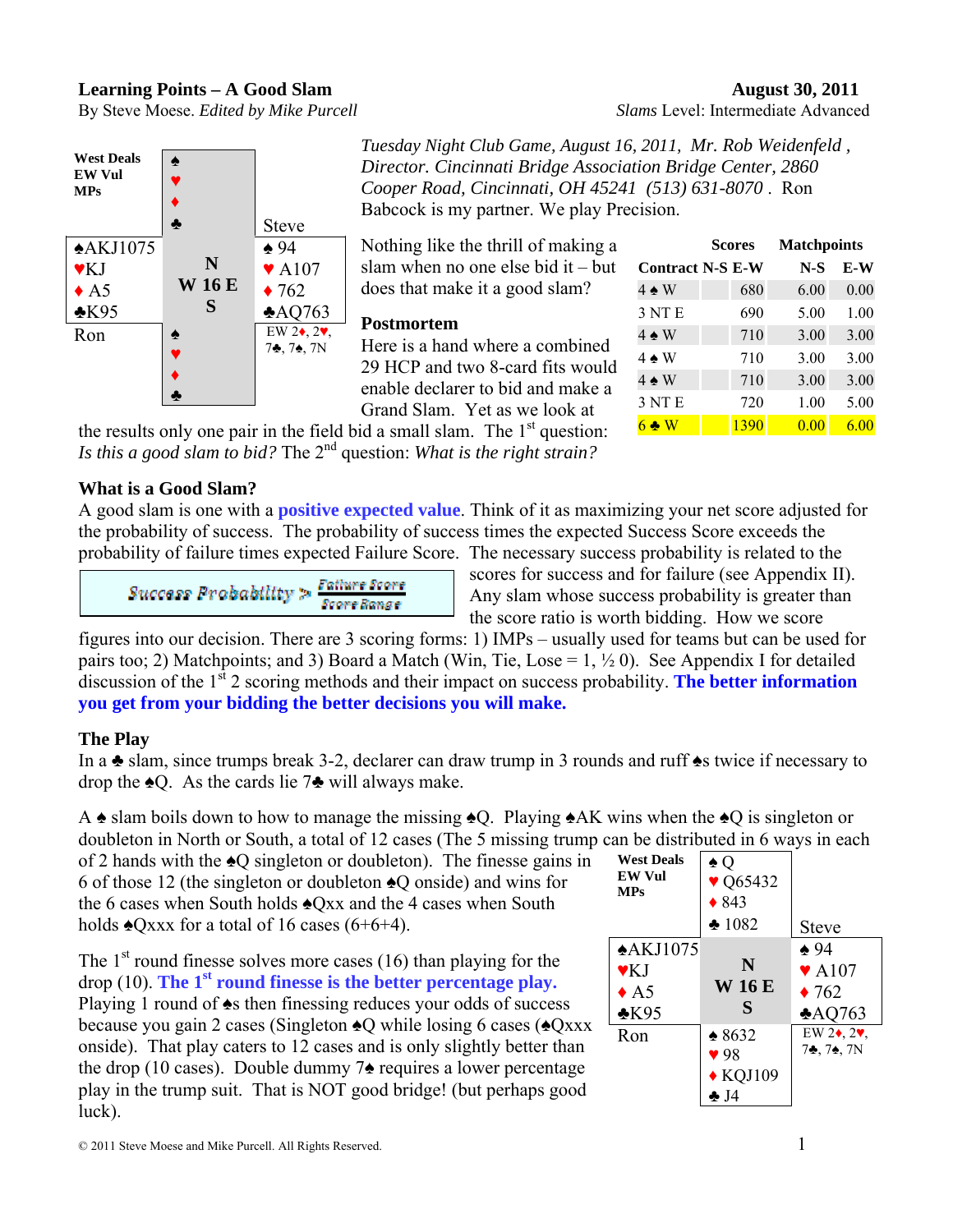## **Learning Points – A Good Slam August 30, 2011**





*Tuesday Night Club Game, August 16, 2011, Mr. Rob Weidenfeld , Director. Cincinnati Bridge Association Bridge Center, 2860 Cooper Road, Cincinnati, OH 45241 (513) 631-8070* . Ron Babcock is my partner. We play Precision.

Nothing like the thrill of making a slam when no one else bid it – but does that make it a good slam?

## **Postmortem**

Here is a hand where a combined 29 HCP and two 8-card fits would enable declarer to bid and make a Grand Slam. Yet as we look at

|                         | <b>Scores</b> | <b>Matchpoints</b> |      |
|-------------------------|---------------|--------------------|------|
| <b>Contract N-S E-W</b> |               | $N-S$              | E-W  |
| $4 \triangle W$         | 680           | 6.00               | 0.00 |
| 3 NT E                  | 690           | 5.00               | 1.00 |
| $4 \triangle W$         | 710           | 3.00               | 3.00 |
| $4 \triangle W$         | 710           | 3.00               | 3.00 |
| $4 \triangle W$         | 710           | 3.00               | 3.00 |
| 3 NT E                  | 720           | 1.00               | 5.00 |
| $6 \triangleleft W$     | 1390          | 0.00               | 6.00 |

the results only one pair in the field bid a small slam. The  $1<sup>st</sup>$  question: *Is this a good slam to bid?* The 2nd question: *What is the right strain?* 

# **What is a Good Slam?**

A good slam is one with a **positive expected value**. Think of it as maximizing your net score adjusted for the probability of success. The probability of success times the expected Success Score exceeds the probability of failure times expected Failure Score. The necessary success probability is related to the

$$
\textit{Success Probability} > \textit{Failure Score} \\ \textit{Score Range}
$$

scores for success and for failure (see Appendix II). Any slam whose success probability is greater than the score ratio is worth bidding. How we score

figures into our decision. There are 3 scoring forms: 1) IMPs – usually used for teams but can be used for pairs too; 2) Matchpoints; and 3) Board a Match (Win, Tie, Lose =  $1, \frac{1}{2}$  0). See Appendix I for detailed discussion of the 1<sup>st</sup> 2 scoring methods and their impact on success probability. **The better information you get from your bidding the better decisions you will make.** 

# **The Play**

In a ♣ slam, since trumps break 3-2, declarer can draw trump in 3 rounds and ruff ♠s twice if necessary to drop the  $\triangle$ O. As the cards lie 7 $\triangle$  will always make.

A ♠ slam boils down to how to manage the missing ♠Q. Playing ♠AK wins when the ♠Q is singleton or doubleton in North or South, a total of 12 cases (The 5 missing trump can be distributed in 6 ways in each

of 2 hands with the ♠Q singleton or doubleton). The finesse gains in 6 of those 12 (the singleton or doubleton ♠Q onside) and wins for the 6 cases when South holds ♠Qxx and the 4 cases when South holds  $\triangle$ Qxxx for a total of 16 cases (6+6+4).

The  $1<sup>st</sup>$  round finesse solves more cases (16) than playing for the  $\text{drop } (10)$ . The 1<sup>st</sup> round finesse is the better percentage play. Playing 1 round of  $\triangle$ s then finessing reduces your odds of success because you gain 2 cases (Singleton ♠Q while losing 6 cases (♠Qxxx onside). That play caters to 12 cases and is only slightly better than the drop (10 cases). Double dummy 7♠ requires a lower percentage play in the trump suit. That is NOT good bridge! (but perhaps good luck).

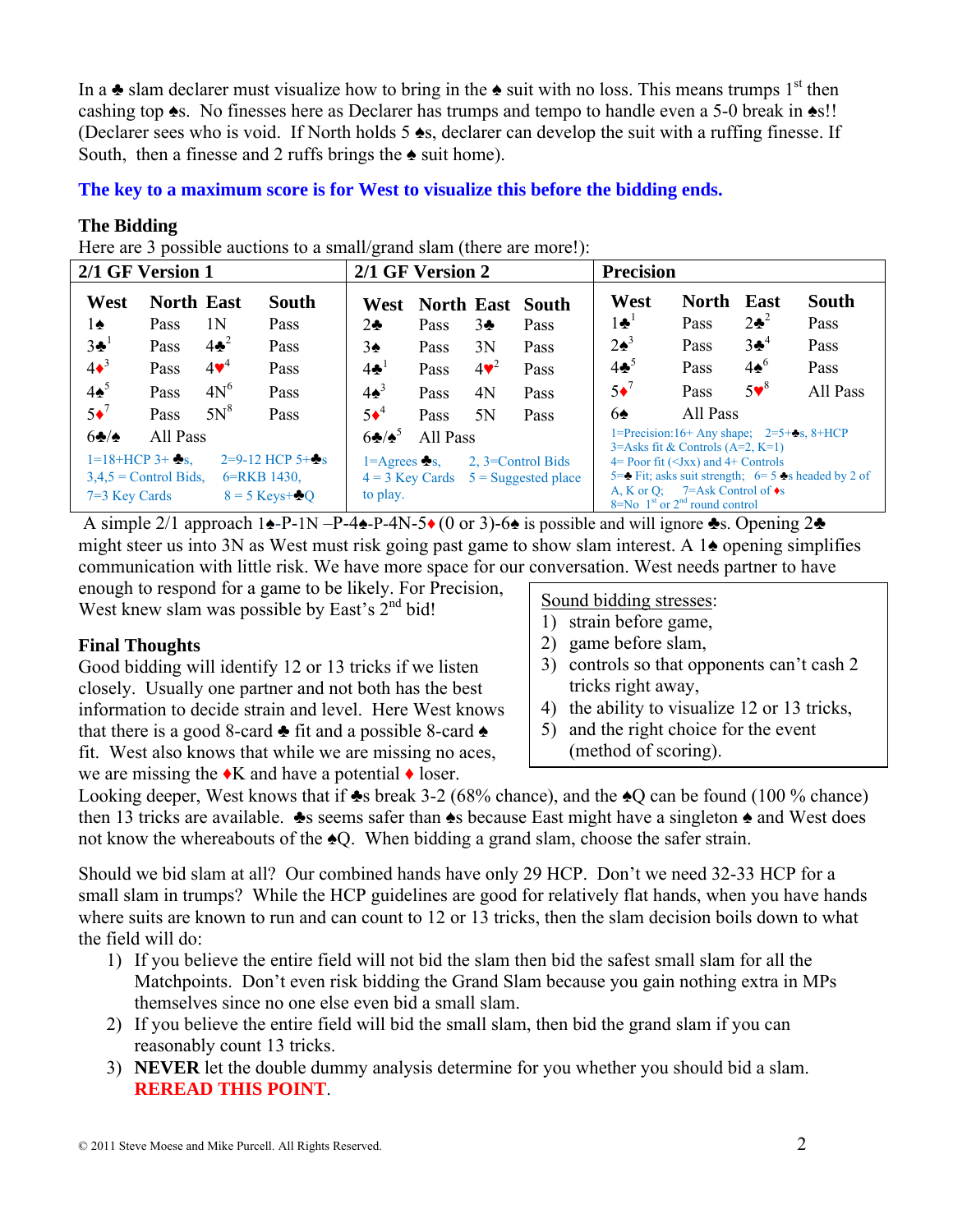In a  $\triangle$  slam declarer must visualize how to bring in the  $\triangle$  suit with no loss. This means trumps 1<sup>st</sup> then cashing top ♠s. No finesses here as Declarer has trumps and tempo to handle even a 5-0 break in ♠s!! (Declarer sees who is void. If North holds 5 ♠s, declarer can develop the suit with a ruffing finesse. If South, then a finesse and 2 ruffs brings the  $\triangle$  suit home).

**The key to a maximum score is for West to visualize this before the bidding ends.** 

## **The Bidding**

Here are 3 possible auctions to a small/grand slam (there are more!):

| 2/1 GF Version 1 |                              |                         |                                 | 2/1 GF Version 2          |          |                 |                                         | <b>Precision</b> |                                                                                                        |                 |                                                                                               |
|------------------|------------------------------|-------------------------|---------------------------------|---------------------------|----------|-----------------|-----------------------------------------|------------------|--------------------------------------------------------------------------------------------------------|-----------------|-----------------------------------------------------------------------------------------------|
| West             | <b>North East</b>            |                         | <b>South</b>                    | West                      |          |                 | North East South                        | West             | North                                                                                                  | East            | <b>South</b>                                                                                  |
| $1\spadesuit$    | Pass                         | 1Ν                      | Pass                            | $2\clubsuit$              | Pass     | 3 <sub>2</sub>  | Pass                                    | $1\clubsuit^1$   | Pass                                                                                                   | $2\bullet^2$    | Pass                                                                                          |
| $3\clubsuit^1$   | Pass                         | $4\clubsuit^2$          | Pass                            | 3♠                        | Pass     | 3N              | Pass                                    | $2\spadesuit^3$  | Pass                                                                                                   | $3\clubsuit^4$  | Pass                                                                                          |
| $4\bullet^3$     | Pass                         | $4\blacktriangledown^4$ | Pass                            | $4\clubsuit$ <sup>1</sup> | Pass     | $4\mathbf{v}^2$ | Pass                                    | $4\clubsuit^5$   | Pass                                                                                                   | $4\spadesuit^6$ | Pass                                                                                          |
| $4\spadesuit^5$  | Pass                         | $4N^6$                  | Pass                            | $4\spadesuit^3$           | Pass     | 4N              | Pass                                    | $5\bullet$       | Pass                                                                                                   | $5\mathbf{v}^8$ | All Pass                                                                                      |
| $5\bullet^7$     | Pass                         | $5N^8$                  | Pass                            | $5\bullet^4$              | Pass     | 5N              | Pass                                    | 6♠               | All Pass                                                                                               |                 |                                                                                               |
| 62/              | All Pass                     |                         |                                 | $6\clubsuit/\spadesuit^5$ | All Pass |                 |                                         |                  | 1=Precision:16+ Any shape; $2=5+2s$ , 8+HCP<br>$3 =$ Asks fit & Controls (A=2, K=1)                    |                 |                                                                                               |
|                  | $1=18+HCP$ 3+ $\clubsuit$ s. |                         | $2=9-12$ HCP $5+\frac{1}{28}$ s | 1=Agrees $\clubsuit s$ .  |          |                 | 2, 3=Control Bids                       |                  | $4 =$ Poor fit ( $\langle$ Jxx) and $4 +$ Controls                                                     |                 |                                                                                               |
|                  | $3.4.5$ = Control Bids.      |                         | 6=RKB 1430,                     |                           |          |                 | $4 = 3$ Key Cards $5 =$ Suggested place |                  |                                                                                                        |                 | 5= $\blacktriangleright$ Fit; asks suit strength; 6= 5 $\blacktriangleright$ s headed by 2 of |
| $7=3$ Key Cards  |                              |                         | $8 = 5$ Keys+ $\bullet$ O       | to play.                  |          |                 |                                         |                  | A, K or Q; $7=Ask$ Control of $\bullet s$<br>$8 = No$ 1 <sup>st</sup> or 2 <sup>nd</sup> round control |                 |                                                                                               |

 A simple 2/1 approach 1♠-P-1N –P-4♠-P-4N-5♦ (0 or 3)-6♠ is possible and will ignore ♣s. Opening 2♣ might steer us into 3N as West must risk going past game to show slam interest. A 1♠ opening simplifies communication with little risk. We have more space for our conversation. West needs partner to have

enough to respond for a game to be likely. For Precision, West knew slam was possible by East's 2<sup>nd</sup> bid!

## **Final Thoughts**

Good bidding will identify 12 or 13 tricks if we listen closely. Usually one partner and not both has the best information to decide strain and level. Here West knows that there is a good 8-card  $\triangle$  fit and a possible 8-card  $\triangle$ fit. West also knows that while we are missing no aces, we are missing the  $\triangle K$  and have a potential  $\triangle K$  loser.

## Sound bidding stresses:

- 1) strain before game,
- 2) game before slam,
- 3) controls so that opponents can't cash 2 tricks right away,
- 4) the ability to visualize 12 or 13 tricks,
- 5) and the right choice for the event (method of scoring).

Looking deeper, West knows that if  $\triangle$ s break 3-2 (68% chance), and the  $\triangle$ Q can be found (100 % chance) then 13 tricks are available. ♣s seems safer than ♠s because East might have a singleton ♠ and West does not know the whereabouts of the ♠Q. When bidding a grand slam, choose the safer strain.

Should we bid slam at all? Our combined hands have only 29 HCP. Don't we need 32-33 HCP for a small slam in trumps? While the HCP guidelines are good for relatively flat hands, when you have hands where suits are known to run and can count to 12 or 13 tricks, then the slam decision boils down to what the field will do:

- 1) If you believe the entire field will not bid the slam then bid the safest small slam for all the Matchpoints. Don't even risk bidding the Grand Slam because you gain nothing extra in MPs themselves since no one else even bid a small slam.
- 2) If you believe the entire field will bid the small slam, then bid the grand slam if you can reasonably count 13 tricks.
- 3) **NEVER** let the double dummy analysis determine for you whether you should bid a slam. **REREAD THIS POINT**.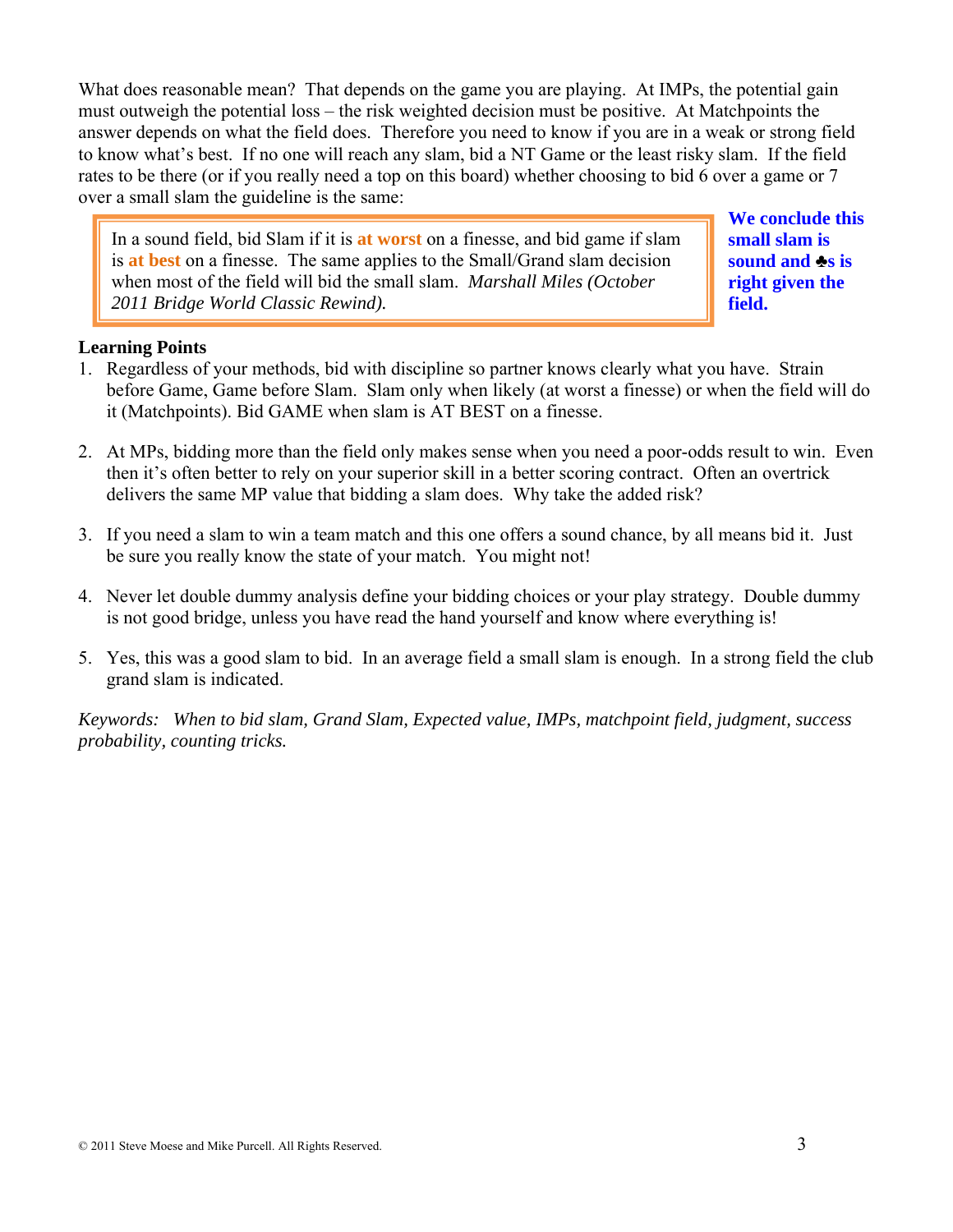What does reasonable mean? That depends on the game you are playing. At IMPs, the potential gain must outweigh the potential loss – the risk weighted decision must be positive. At Matchpoints the answer depends on what the field does. Therefore you need to know if you are in a weak or strong field to know what's best. If no one will reach any slam, bid a NT Game or the least risky slam. If the field rates to be there (or if you really need a top on this board) whether choosing to bid 6 over a game or 7 over a small slam the guideline is the same:

In a sound field, bid Slam if it is **at worst** on a finesse, and bid game if slam is **at best** on a finesse. The same applies to the Small/Grand slam decision when most of the field will bid the small slam. *Marshall Miles (October 2011 Bridge World Classic Rewind).*

**We conclude this small slam is sound and** ♣**s is right given the field.**

## **Learning Points**

- 1. Regardless of your methods, bid with discipline so partner knows clearly what you have. Strain before Game, Game before Slam. Slam only when likely (at worst a finesse) or when the field will do it (Matchpoints). Bid GAME when slam is AT BEST on a finesse.
- 2. At MPs, bidding more than the field only makes sense when you need a poor-odds result to win. Even then it's often better to rely on your superior skill in a better scoring contract. Often an overtrick delivers the same MP value that bidding a slam does. Why take the added risk?
- 3. If you need a slam to win a team match and this one offers a sound chance, by all means bid it. Just be sure you really know the state of your match. You might not!
- 4. Never let double dummy analysis define your bidding choices or your play strategy. Double dummy is not good bridge, unless you have read the hand yourself and know where everything is!
- 5. Yes, this was a good slam to bid. In an average field a small slam is enough. In a strong field the club grand slam is indicated.

*Keywords: When to bid slam, Grand Slam, Expected value, IMPs, matchpoint field, judgment, success probability, counting tricks.*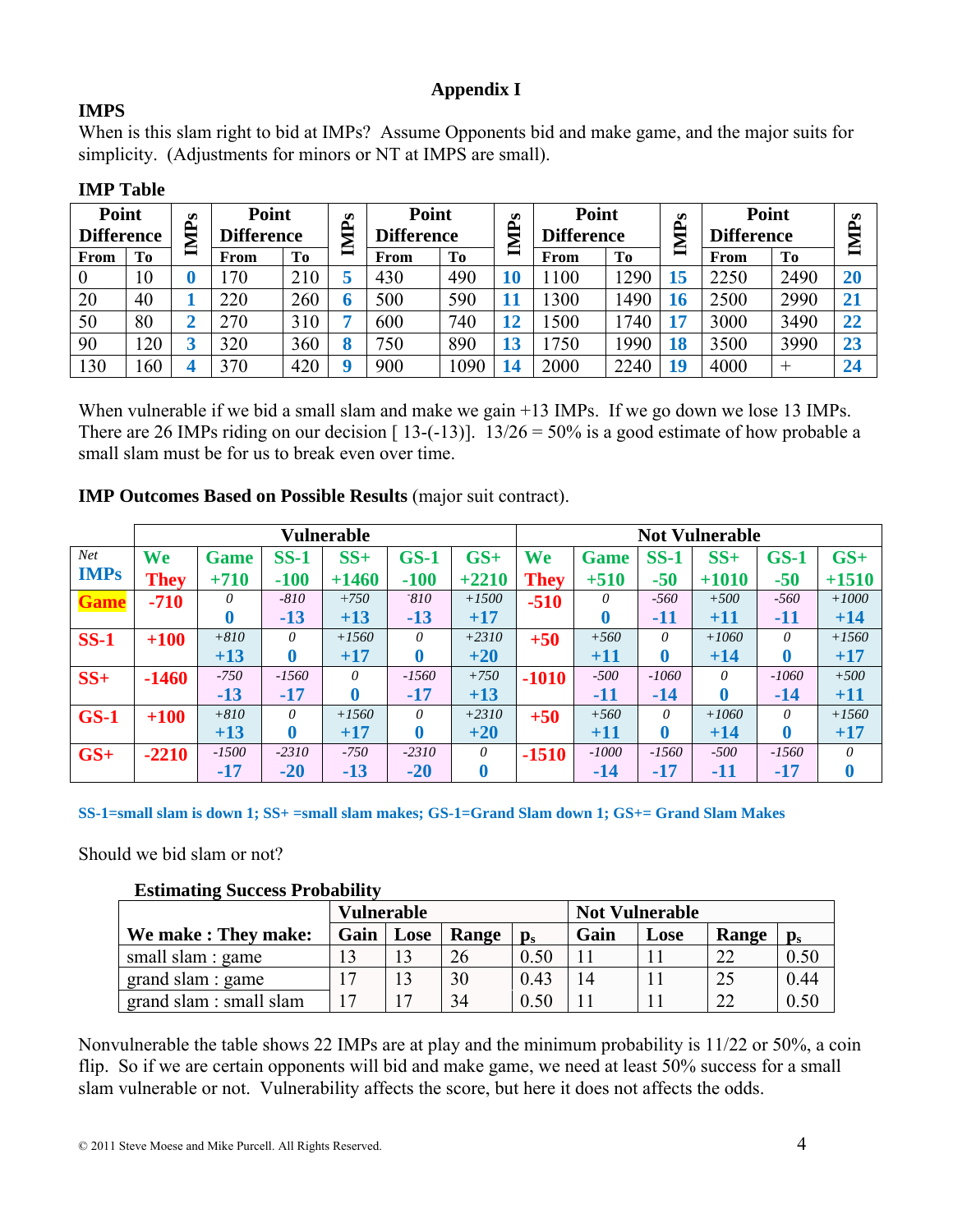# **Appendix I**

# **IMPS**

When is this slam right to bid at IMPs? Assume Opponents bid and make game, and the major suits for simplicity. (Adjustments for minors or NT at IMPS are small).

| Point<br><b>Difference</b> |                 | $\boldsymbol{\omega}$<br>□. | Point<br><b>Difference</b> |     | s<br>ਥਿ | <b>Point</b><br><b>Difference</b> |      |    |      | Ø<br>௨<br>÷ | Point<br><b>Difference</b> |      | S<br>A.         | Point<br><b>Difference</b> |  | S<br>$\mathbf{P}$ |
|----------------------------|-----------------|-----------------------------|----------------------------|-----|---------|-----------------------------------|------|----|------|-------------|----------------------------|------|-----------------|----------------------------|--|-------------------|
| From                       | To              | ≘                           | From                       | To  | ⊟       | From                              | To   | ≘  | From | To          | ⋸                          | From | <b>To</b>       | ╕                          |  |                   |
| $\boldsymbol{0}$           | 10              |                             | 70                         | 210 |         | 430                               | 490  |    | 100  | 1290        | 15                         | 2250 | 2490            | 20                         |  |                   |
| 20                         | 40              |                             | 220                        | 260 |         | 500                               | 590  |    | 300  | 1490        | 16                         | 2500 | 2990            | 21                         |  |                   |
| 50                         | 80              |                             | 270                        | 310 |         | 600                               | 740  | 12 | 500  | 1740        | 17                         | 3000 | 3490            | 22                         |  |                   |
| 90                         | $\overline{20}$ |                             | 320                        | 360 |         | '50                               | 890  | 13 | 750  | 1990        | 18                         | 3500 | 3990            | 23                         |  |                   |
| $\overline{30}$            | 160             |                             | 370                        | 420 |         | 900                               | 1090 | 14 | 2000 | 2240        | 19                         | 4000 | $^{\mathrm{+}}$ | 24                         |  |                   |

# **IMP Table**

When vulnerable if we bid a small slam and make we gain +13 IMPs. If we go down we lose 13 IMPs. There are 26 IMPs riding on our decision  $[13-(-13)]$ .  $13/26 = 50\%$  is a good estimate of how probable a small slam must be for us to break even over time.

## **IMP Outcomes Based on Possible Results** (major suit contract).

|             |             |             |                  | Vulnerable |         | <b>Not Vulnerable</b> |             |             |          |          |          |          |
|-------------|-------------|-------------|------------------|------------|---------|-----------------------|-------------|-------------|----------|----------|----------|----------|
| <b>Net</b>  | We          | <b>Game</b> | $SS-1$           | $SS+$      | $GS-1$  | $GS+$                 | We          | <b>Game</b> | $SS-1$   | $SS+$    | $GS-1$   | $GS+$    |
| <b>IMPs</b> | <b>They</b> | $+710$      | $-100$           | $+1460$    | $-100$  | $+2210$               | <b>They</b> | $+510$      | $-50$    | $+1010$  | $-50$    | $+1510$  |
| <b>Game</b> | $-710$      | $\theta$    | $-810$           | $+750$     | $-810$  | $+1500$               | $-510$      | 0           | $-560$   | $+500$   | $-560$   | $+1000$  |
|             |             | $\bf{0}$    | $-13$            | $+13$      | $-13$   | $+17$                 |             |             | -11      | $+11$    | -11      | $+14$    |
| <b>SS-1</b> | $+100$      | $+810$      | $\theta$         | $+1560$    | 0       | $+2310$               | $+50$       | $+560$      | $\theta$ | $+1060$  | $\theta$ | $+1560$  |
|             |             | $+13$       | 0                | $+17$      | 0       | $+20$                 |             | $+11$       | $\bf{0}$ | $+14$    | $\bf{0}$ | $+17$    |
| $SS+$       | $-1460$     | $-750$      | $-1560$          | 0          | $-1560$ | $+750$                | $-1010$     | $-500$      | $-1060$  | $\theta$ | $-1060$  | $+500$   |
|             |             | $-13$       | $-17$            | 0          | $-17$   | $+13$                 |             | $-11$       | $-14$    | $\bf{0}$ | $-14$    | $+11$    |
| $GS-1$      | $+100$      | $+810$      | $\theta$         | $+1560$    | 0       | $+2310$               | $+50$       | $+560$      | $\theta$ | $+1060$  | $\theta$ | $+1560$  |
|             |             | $+13$       | $\boldsymbol{0}$ | $+17$      | 0       | $+20$                 |             | $+11$       | 0        | $+14$    | $\bf{0}$ | $+17$    |
| $GS+$       | $-2210$     | $-1500$     | $-2310$          | $-750$     | $-2310$ | 0                     | $-1510$     | $-1000$     | $-1560$  | $-500$   | $-1560$  | $\theta$ |
|             |             | -17         | $-20$            | $-13$      | $-20$   | 0                     |             | $-14$       | $-17$    | -11      | $-17$    |          |

**SS-1=small slam is down 1; SS+ =small slam makes; GS-1=Grand Slam down 1; GS+= Grand Slam Makes** 

Should we bid slam or not?

## **Estimating Success Probability**

|                         | <b>Vulnerable</b> |      |       |                | <b>Not Vulnerable</b> |      |       |                |
|-------------------------|-------------------|------|-------|----------------|-----------------------|------|-------|----------------|
| We make: They make:     | Gain              | Lose | Range | $\mathbf{p}_s$ | Gain                  | Lose | Range | $\mathbf{p}_s$ |
| small slam : game       |                   | 13   | 26    | 0.50           |                       |      | 22    | 0.50           |
| grand slam : game       | 17                | 13   | 30    | 0.43           | 14                    |      | 25    | 0.44           |
| grand slam : small slam | 17                | 17   | 34    | 0.50           |                       |      | 22    | 0.50           |

Nonvulnerable the table shows 22 IMPs are at play and the minimum probability is 11/22 or 50%, a coin flip. So if we are certain opponents will bid and make game, we need at least 50% success for a small slam vulnerable or not. Vulnerability affects the score, but here it does not affects the odds.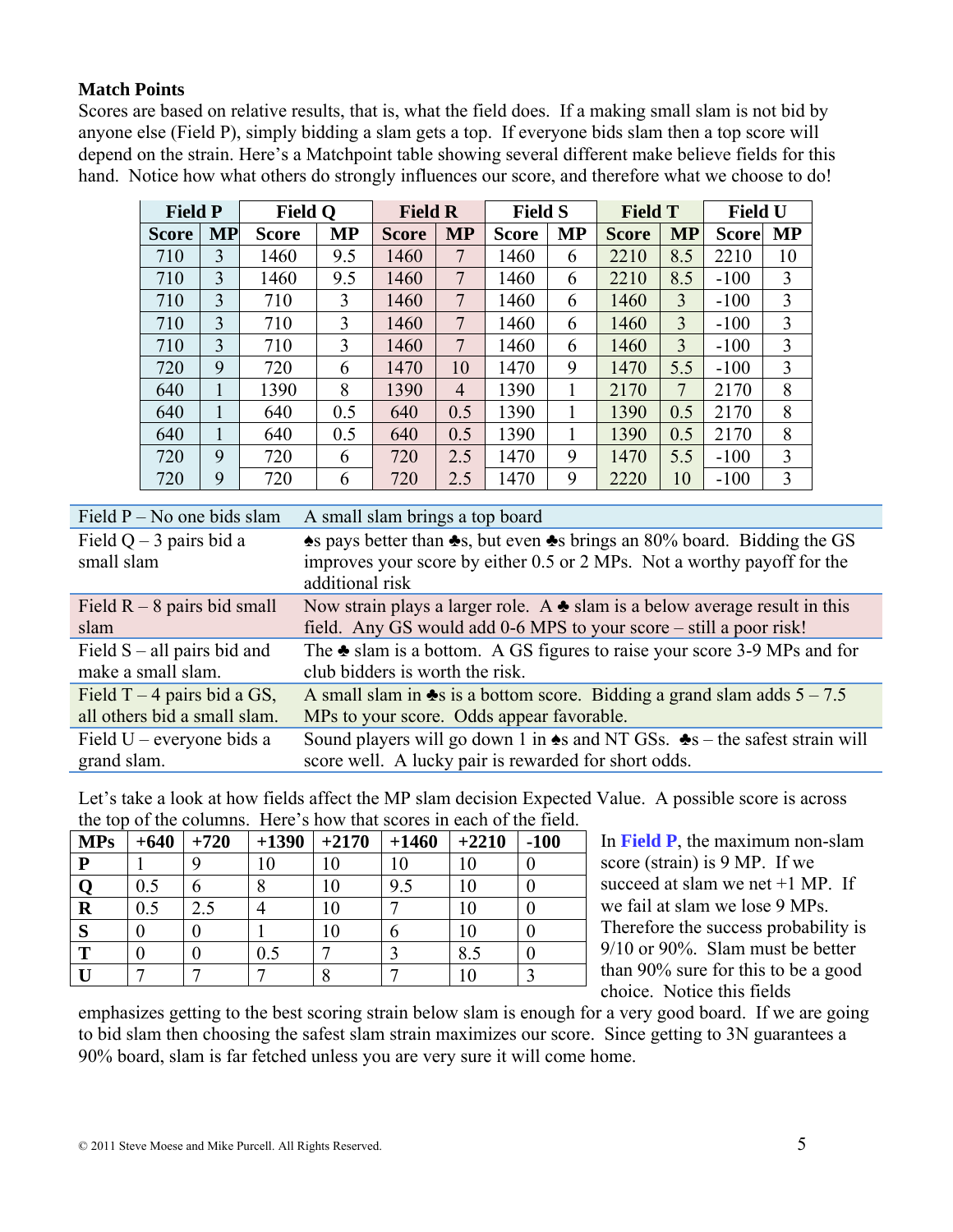# **Match Points**

Scores are based on relative results, that is, what the field does. If a making small slam is not bid by anyone else (Field P), simply bidding a slam gets a top. If everyone bids slam then a top score will depend on the strain. Here's a Matchpoint table showing several different make believe fields for this hand. Notice how what others do strongly influences our score, and therefore what we choose to do!

| <b>Field P</b> |           | <b>Field Q</b> |           | <b>Field R</b> |                | <b>Field S</b> |           | <b>Field T</b> |           | <b>Field U</b> |           |
|----------------|-----------|----------------|-----------|----------------|----------------|----------------|-----------|----------------|-----------|----------------|-----------|
| <b>Score</b>   | <b>MP</b> | <b>Score</b>   | <b>MP</b> | <b>Score</b>   | <b>MP</b>      | <b>Score</b>   | <b>MP</b> | <b>Score</b>   | <b>MP</b> | <b>Score</b>   | <b>MP</b> |
| 710            | 3         | 1460           | 9.5       | 1460           | 7              | 1460           | 6         | 2210           | 8.5       | 2210           | 10        |
| 710            | 3         | 1460           | 9.5       | 1460           | $\overline{7}$ | 1460           | 6         | 2210           | 8.5       | $-100$         | 3         |
| 710            | 3         | 710            | 3         | 1460           | $\overline{7}$ | 1460           | 6         | 1460           | 3         | $-100$         | 3         |
| 710            | 3         | 710            | 3         | 1460           | 7              | 1460           | 6         | 1460           | 3         | $-100$         | 3         |
| 710            | 3         | 710            | 3         | 1460           | 7              | 1460           | 6         | 1460           | 3         | $-100$         | 3         |
| 720            | 9         | 720            | 6         | 1470           | 10             | 1470           | 9         | 1470           | 5.5       | $-100$         | 3         |
| 640            | 1         | 1390           | 8         | 1390           | $\overline{4}$ | 1390           |           | 2170           | 7         | 2170           | 8         |
| 640            |           | 640            | 0.5       | 640            | 0.5            | 1390           |           | 1390           | 0.5       | 2170           | 8         |
| 640            |           | 640            | 0.5       | 640            | 0.5            | 1390           |           | 1390           | 0.5       | 2170           | 8         |
| 720            | 9         | 720            | 6         | 720            | 2.5            | 1470           | 9         | 1470           | 5.5       | $-100$         | 3         |
| 720            | 9         | 720            | 6         | 720            | 2.5            | 1470           | 9         | 2220           | 10        | $-100$         | 3         |

| Field $P - No$ one bids slam            | A small slam brings a top board                                                                                                                                       |
|-----------------------------------------|-----------------------------------------------------------------------------------------------------------------------------------------------------------------------|
| Field $Q - 3$ pairs bid a<br>small slam | As pays better than As, but even As brings an 80% board. Bidding the GS<br>improves your score by either 0.5 or 2 MPs. Not a worthy payoff for the<br>additional risk |
| Field $R - 8$ pairs bid small           | Now strain plays a larger role. A $\triangle$ slam is a below average result in this                                                                                  |
| slam                                    | field. Any GS would add 0-6 MPS to your score – still a poor risk!                                                                                                    |
| Field $S$ – all pairs bid and           | The $\triangle$ slam is a bottom. A GS figures to raise your score 3-9 MPs and for                                                                                    |
| make a small slam.                      | club bidders is worth the risk.                                                                                                                                       |
| Field $T - 4$ pairs bid a GS,           | A small slam in $\clubsuit$ s is a bottom score. Bidding a grand slam adds $5 - 7.5$                                                                                  |
| all others bid a small slam.            | MPs to your score. Odds appear favorable.                                                                                                                             |
| Field $U$ – everyone bids a             | Sound players will go down 1 in $\triangle$ s and NT GSs. $\triangle$ s – the safest strain will                                                                      |
| grand slam.                             | score well. A lucky pair is rewarded for short odds.                                                                                                                  |

Let's take a look at how fields affect the MP slam decision Expected Value. A possible score is across the top of the columns. Here's how that scores in each of the field.

| the top of the continue. There is now that secret in each of the field.<br><b>MPs</b> | $+640$  | $+720$ | $+1390$ | $+2170$ | $+1460$ | $+2210$ | $-100$ |
|---------------------------------------------------------------------------------------|---------|--------|---------|---------|---------|---------|--------|
| P                                                                                     |         |        |         | l0      | 10      |         |        |
| Q                                                                                     | 0.5     | n      |         | 10      | 9.5     | 10      |        |
| $\bf R$                                                                               | $0.5\,$ |        |         | 10      |         | 10      |        |
| S                                                                                     |         |        |         | 10      |         |         |        |
| T                                                                                     |         |        | 0.5     |         |         | 8.5     |        |
|                                                                                       |         |        |         |         |         |         |        |

In **Field P**, the maximum non-slam score (strain) is 9 MP. If we succeed at slam we net  $+1$  MP. If we fail at slam we lose 9 MPs. Therefore the success probability is 9/10 or 90%. Slam must be better than 90% sure for this to be a good choice. Notice this fields

emphasizes getting to the best scoring strain below slam is enough for a very good board. If we are going to bid slam then choosing the safest slam strain maximizes our score. Since getting to 3N guarantees a 90% board, slam is far fetched unless you are very sure it will come home.